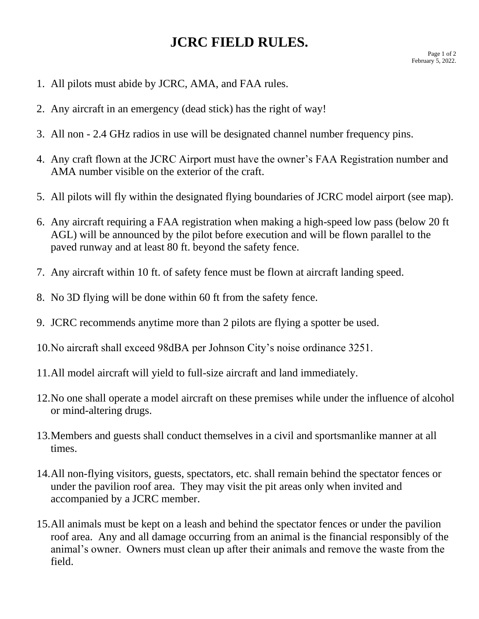## **JCRC FIELD RULES.**

- 1. All pilots must abide by JCRC, AMA, and FAA rules.
- 2. Any aircraft in an emergency (dead stick) has the right of way!
- 3. All non 2.4 GHz radios in use will be designated channel number frequency pins.
- 4. Any craft flown at the JCRC Airport must have the owner's FAA Registration number and AMA number visible on the exterior of the craft.
- 5. All pilots will fly within the designated flying boundaries of JCRC model airport (see map).
- 6. Any aircraft requiring a FAA registration when making a high-speed low pass (below 20 ft AGL) will be announced by the pilot before execution and will be flown parallel to the paved runway and at least 80 ft. beyond the safety fence.
- 7. Any aircraft within 10 ft. of safety fence must be flown at aircraft landing speed.
- 8. No 3D flying will be done within 60 ft from the safety fence.
- 9. JCRC recommends anytime more than 2 pilots are flying a spotter be used.
- 10.No aircraft shall exceed 98dBA per Johnson City's noise ordinance 3251.
- 11.All model aircraft will yield to full-size aircraft and land immediately.
- 12.No one shall operate a model aircraft on these premises while under the influence of alcohol or mind-altering drugs.
- 13.Members and guests shall conduct themselves in a civil and sportsmanlike manner at all times.
- 14.All non-flying visitors, guests, spectators, etc. shall remain behind the spectator fences or under the pavilion roof area. They may visit the pit areas only when invited and accompanied by a JCRC member.
- 15.All animals must be kept on a leash and behind the spectator fences or under the pavilion roof area. Any and all damage occurring from an animal is the financial responsibly of the animal's owner. Owners must clean up after their animals and remove the waste from the field.